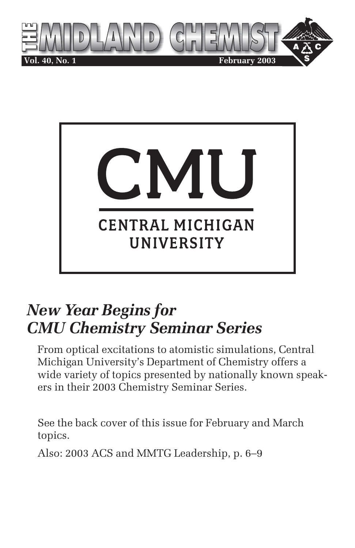



# *New Year Begins for CMU Chemistry Seminar Series*

From optical excitations to atomistic simulations, Central Michigan University's Department of Chemistry offers a wide variety of topics presented by nationally known speakers in their 2003 Chemistry Seminar Series.

See the back cover of this issue for February and March topics.

Also: 2003 ACS and MMTG Leadership, p. 6–9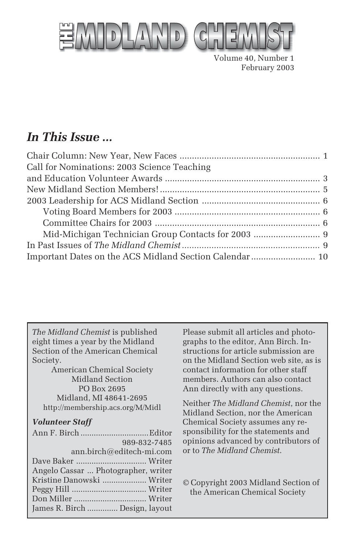

Volume 40, Number 1 February 2003

# *In This Issue ...*

| Call for Nominations: 2003 Science Teaching             |  |
|---------------------------------------------------------|--|
|                                                         |  |
|                                                         |  |
|                                                         |  |
|                                                         |  |
|                                                         |  |
|                                                         |  |
|                                                         |  |
| Important Dates on the ACS Midland Section Calendar  10 |  |

*The Midland Chemist* is published eight times a year by the Midland Section of the American Chemical Society.

American Chemical Society Midland Section PO Box 2695 Midland, MI 48641-2695 http://membership.acs.org/M/Midl

#### *Volunteer Staff*

|                                     | 989-832-7485 |
|-------------------------------------|--------------|
| ann.birch@editech-mi.com            |              |
|                                     |              |
| Angelo Cassar  Photographer, writer |              |
| Kristine Danowski  Writer           |              |
|                                     |              |
|                                     |              |
| James R. Birch  Design, layout      |              |

Please submit all articles and photographs to the editor, Ann Birch. Instructions for article submission are on the Midland Section web site, as is contact information for other staff members. Authors can also contact Ann directly with any questions.

Neither *The Midland Chemist*, nor the Midland Section, nor the American Chemical Society assumes any responsibility for the statements and opinions advanced by contributors of or to *The Midland Chemist*.

© Copyright 2003 Midland Section of the American Chemical Society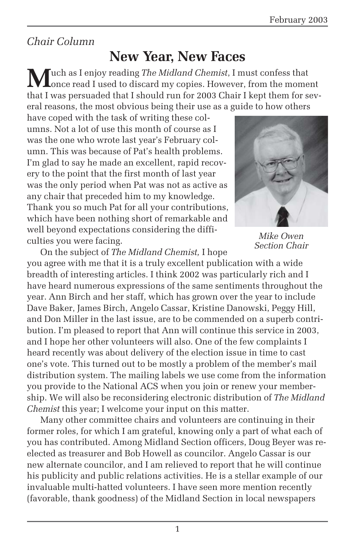## *Chair Column*

# **New Year, New Faces**

**M**uch as I enjoy reading *The Midland Chemist*, I must confess that Lonce read I used to discard my copies. However, from the moment that I was persuaded that I should run for 2003 Chair I kept them for several reasons, the most obvious being their use as a guide to how others

have coped with the task of writing these columns. Not a lot of use this month of course as I was the one who wrote last year's February column. This was because of Pat's health problems. I'm glad to say he made an excellent, rapid recovery to the point that the first month of last year was the only period when Pat was not as active as any chair that preceded him to my knowledge. Thank you so much Pat for all your contributions, which have been nothing short of remarkable and well beyond expectations considering the difficulties you were facing.



*Mike Owen Section Chair*

On the subject of *The Midland Chemist,* I hope you agree with me that it is a truly excellent publication with a wide breadth of interesting articles. I think 2002 was particularly rich and I have heard numerous expressions of the same sentiments throughout the year. Ann Birch and her staff, which has grown over the year to include Dave Baker, James Birch, Angelo Cassar, Kristine Danowski, Peggy Hill, and Don Miller in the last issue, are to be commended on a superb contribution. I'm pleased to report that Ann will continue this service in 2003, and I hope her other volunteers will also. One of the few complaints I heard recently was about delivery of the election issue in time to cast one's vote. This turned out to be mostly a problem of the member's mail distribution system. The mailing labels we use come from the information you provide to the National ACS when you join or renew your membership. We will also be reconsidering electronic distribution of *The Midland Chemist* this year; I welcome your input on this matter.

Many other committee chairs and volunteers are continuing in their former roles, for which I am grateful, knowing only a part of what each of you has contributed. Among Midland Section officers, Doug Beyer was reelected as treasurer and Bob Howell as councilor. Angelo Cassar is our new alternate councilor, and I am relieved to report that he will continue his publicity and public relations activities. He is a stellar example of our invaluable multi-hatted volunteers. I have seen more mention recently (favorable, thank goodness) of the Midland Section in local newspapers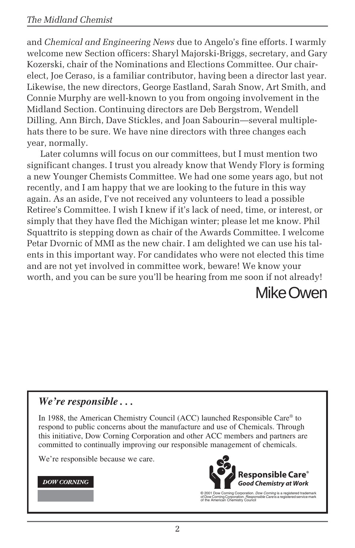and *Chemical and Engineering News* due to Angelo's fine efforts. I warmly welcome new Section officers: Sharyl Majorski-Briggs, secretary, and Gary Kozerski, chair of the Nominations and Elections Committee. Our chairelect, Joe Ceraso, is a familiar contributor, having been a director last year. Likewise, the new directors, George Eastland, Sarah Snow, Art Smith, and Connie Murphy are well-known to you from ongoing involvement in the Midland Section. Continuing directors are Deb Bergstrom, Wendell Dilling, Ann Birch, Dave Stickles, and Joan Sabourin—several multiplehats there to be sure. We have nine directors with three changes each year, normally.

Later columns will focus on our committees, but I must mention two significant changes. I trust you already know that Wendy Flory is forming a new Younger Chemists Committee. We had one some years ago, but not recently, and I am happy that we are looking to the future in this way again. As an aside, I've not received any volunteers to lead a possible Retiree's Committee. I wish I knew if it's lack of need, time, or interest, or simply that they have fled the Michigan winter; please let me know. Phil Squattrito is stepping down as chair of the Awards Committee. I welcome Petar Dvornic of MMI as the new chair. I am delighted we can use his talents in this important way. For candidates who were not elected this time and are not yet involved in committee work, beware! We know your worth, and you can be sure you'll be hearing from me soon if not already!

Mike Owen

#### *We're responsible . . .*

In 1988, the American Chemistry Council (ACC) launched Responsible Care® to respond to public concerns about the manufacture and use of Chemicals. Through this initiative, Dow Corning Corporation and other ACC members and partners are committed to continually improving our responsible management of chemicals.

We're responsible because we care.

#### **DOW CORNING**



© 2001 Dow Corning Corporation. *Dow Corning* is a registered trademark<br>of Dow Corning Corporation. *Responsible Care* is a registered service mark<br>of the American Chemistry Council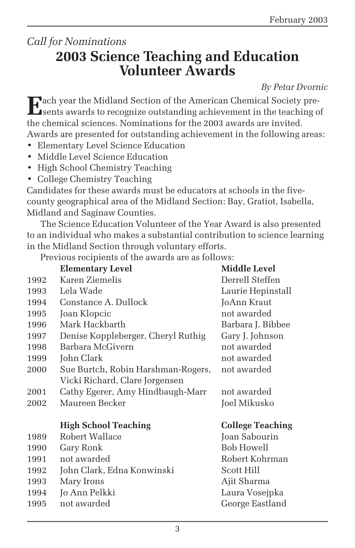## *Call for Nominations* **2003 Science Teaching and Education Volunteer Awards**

*By Petar Dvornic*

**E**ach year the Midland Section of the American Chemical Society presents awards to recognize outstanding achievement in the teaching of the chemical sciences. Nominations for the 2003 awards are invited. Awards are presented for outstanding achievement in the following areas:

- Elementary Level Science Education
- Middle Level Science Education
- High School Chemistry Teaching
- College Chemistry Teaching

Candidates for these awards must be educators at schools in the fivecounty geographical area of the Midland Section: Bay, Gratiot, Isabella, Midland and Saginaw Counties.

The Science Education Volunteer of the Year Award is also presented to an individual who makes a substantial contribution to science learning in the Midland Section through voluntary efforts.

Previous recipients of the awards are as follows:

|      | <b>Elementary Level</b>            | <b>Middle Level</b>     |
|------|------------------------------------|-------------------------|
| 1992 | Karen Ziemelis                     | Derrell Steffen         |
| 1993 | Lela Wade                          | Laurie Hepinstall       |
| 1994 | Constance A. Dullock               | JoAnn Kraut             |
| 1995 | Joan Klopcic                       | not awarded             |
| 1996 | Mark Hackbarth                     | Barbara J. Bibbee       |
| 1997 | Denise Koppleberger, Cheryl Ruthig | Gary J. Johnson         |
| 1998 | Barbara McGivern                   | not awarded             |
| 1999 | John Clark                         | not awarded             |
| 2000 | Sue Burtch, Robin Harshman-Rogers, | not awarded             |
|      | Vicki Richard, Clare Jorgensen     |                         |
| 2001 | Cathy Egerer, Amy Hindbaugh-Marr   | not awarded             |
| 2002 | Maureen Becker                     | Joel Mikusko            |
|      |                                    |                         |
|      | <b>High School Teaching</b>        | <b>College Teaching</b> |
| 1989 | Robert Wallace                     | Joan Sabourin           |
| 1990 | Gary Ronk                          | <b>Bob Howell</b>       |
| 1991 | not awarded                        | Robert Kohrman          |
| 1992 | John Clark, Edna Konwinski         | Scott Hill              |
| 1993 | Mary Irons                         | Ajit Sharma             |
| 1994 | Jo Ann Pelkki                      | Laura Vosejpka          |
| 1995 | not awarded                        | George Eastland         |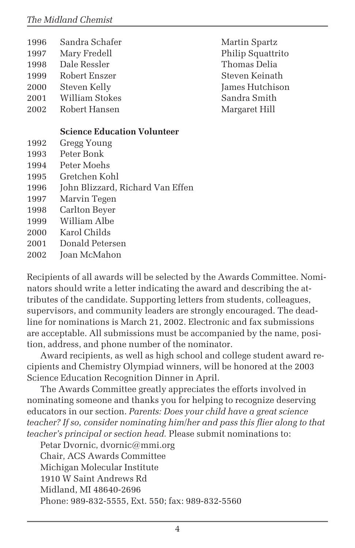- 1996 Sandra Schafer Martin Spartz
- 1998 Dale Ressler Thomas Delia
- 1999 Robert Enszer Steven Keinath
- 2000 Steven Kelly James Hutchison
- 2001 William Stokes Sandra Smith
- 2002 Robert Hansen Margaret Hill

#### **Science Education Volunteer**

- 1992 Gregg Young
- 1993 Peter Bonk
- 1994 Peter Moehs
- 1995 Gretchen Kohl
- 1996 John Blizzard, Richard Van Effen
- 1997 Marvin Tegen
- 1998 Carlton Beyer
- 1999 William Albe
- 2000 Karol Childs
- 2001 Donald Petersen
- 2002 Joan McMahon

Recipients of all awards will be selected by the Awards Committee. Nominators should write a letter indicating the award and describing the attributes of the candidate. Supporting letters from students, colleagues, supervisors, and community leaders are strongly encouraged. The deadline for nominations is March 21, 2002. Electronic and fax submissions are acceptable. All submissions must be accompanied by the name, position, address, and phone number of the nominator.

Award recipients, as well as high school and college student award recipients and Chemistry Olympiad winners, will be honored at the 2003 Science Education Recognition Dinner in April.

The Awards Committee greatly appreciates the efforts involved in nominating someone and thanks you for helping to recognize deserving educators in our section. *Parents: Does your child have a great science teacher? If so, consider nominating him/her and pass this flier along to that teacher's principal or section head.* Please submit nominations to:

Petar Dvornic, dvornic@mmi.org Chair, ACS Awards Committee Michigan Molecular Institute 1910 W Saint Andrews Rd Midland, MI 48640-2696 Phone: 989-832-5555, Ext. 550; fax: 989-832-5560

1997 Mary Fredell Philip Squattrito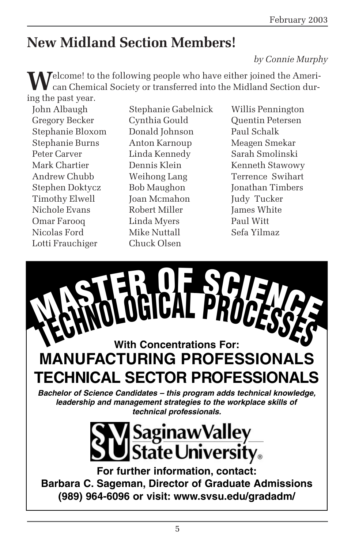# **New Midland Section Members!**

#### *by Connie Murphy*

**W**elcome! to the following people who have either joined the Ameri-<br>can Chemical Society or transferred into the Midland Section during the past year.

Stephanie Bloxom Donald Johnson Paul Schalk Stephanie Burns Anton Karnoup Meagen Smekar Peter Carver Linda Kennedy Sarah Smolinski Timothy Elwell Joan Mcmahon Judy Tucker Nichole Evans Robert Miller James White Omar Farooq Linda Myers Paul Witt Nicolas Ford Mike Nuttall Sefa Yilmaz Lotti Frauchiger Chuck Olsen

John Albaugh Stephanie Gabelnick Willis Pennington Gregory Becker Cynthia Gould Quentin Petersen Mark Chartier **Dennis Klein** Kenneth Stawowy Andrew Chubb Weihong Lang Terrence Swihart Stephen Doktycz Bob Maughon Jonathan Timbers

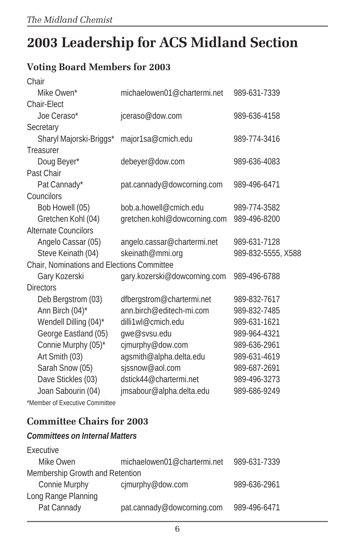# **2003 Leadership for ACS Midland Section**

## **Voting Board Members for 2003**

| Chair                                      |                              |                    |
|--------------------------------------------|------------------------------|--------------------|
| Mike Owen*                                 | michaelowen01@chartermi.net  | 989-631-7339       |
| Chair-Elect                                |                              |                    |
| Joe Ceraso*                                | jceraso@dow.com              | 989-636-4158       |
| Secretary                                  |                              |                    |
| Sharyl Majorski-Briggs*                    | major1sa@cmich.edu           | 989-774-3416       |
| Treasurer                                  |                              |                    |
| Doug Beyer*                                | debeyer@dow.com              | 989-636-4083       |
| Past Chair                                 |                              |                    |
| Pat Cannady*                               | pat.cannady@dowcorning.com   | 989-496-6471       |
| Councilors                                 |                              |                    |
| Bob Howell (05)                            | bob.a.howell@cmich.edu       | 989-774-3582       |
| Gretchen Kohl (04)                         | gretchen.kohl@dowcorning.com | 989-496-8200       |
| <b>Alternate Councilors</b>                |                              |                    |
| Angelo Cassar (05)                         | angelo.cassar@chartermi.net  | 989-631-7128       |
| Steve Keinath (04)                         | skeinath@mmi.org             | 989-832-5555, X588 |
| Chair, Nominations and Elections Committee |                              |                    |
| Gary Kozerski                              | gary.kozerski@dowcorning.com | 989-496-6788       |
| <b>Directors</b>                           |                              |                    |
| Deb Bergstrom (03)                         | dfbergstrom@chartermi.net    | 989-832-7617       |
| Ann Birch (04)*                            | ann.birch@editech-mi.com     | 989-832-7485       |
| Wendell Dilling (04)*                      | dilli1wl@cmich.edu           | 989-631-1621       |
| George Eastland (05)                       | gwe@svsu.edu                 | 989-964-4321       |
| Connie Murphy (05)*                        | cjmurphy@dow.com             | 989-636-2961       |
| Art Smith (03)                             | agsmith@alpha.delta.edu      | 989-631-4619       |
| Sarah Snow (05)                            | sjssnow@aol.com              | 989-687-2691       |
| Dave Stickles (03)                         | dstick44@chartermi.net       | 989-496-3273       |
| Joan Sabourin (04)                         | jmsabour@alpha.delta.edu     | 989-686-9249       |
|                                            |                              |                    |

\*Member of Executive Committee

## **Committee Chairs for 2003**

#### *Committees on Internal Matters*

| Executive                       |                             |              |
|---------------------------------|-----------------------------|--------------|
| Mike Owen                       | michaelowen01@chartermi.net | 989-631-7339 |
| Membership Growth and Retention |                             |              |
| Connie Murphy                   | cjmurphy@dow.com            | 989-636-2961 |
| Long Range Planning             |                             |              |
| Pat Cannady                     | pat.cannady@dowcorning.com  | 989-496-6471 |
|                                 |                             |              |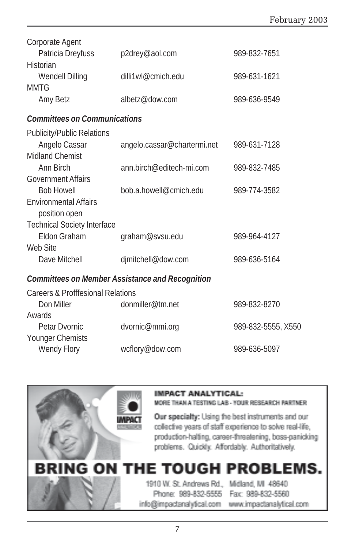| Corporate Agent                               |                                                        |                    |
|-----------------------------------------------|--------------------------------------------------------|--------------------|
| Patricia Dreyfuss                             | p2drey@aol.com                                         | 989-832-7651       |
| Historian                                     |                                                        |                    |
| Wendell Dilling                               | dilli1wl@cmich.edu                                     | 989-631-1621       |
| <b>MMTG</b>                                   |                                                        |                    |
| Amy Betz                                      | albetz@dow.com                                         | 989-636-9549       |
| <b>Committees on Communications</b>           |                                                        |                    |
| <b>Publicity/Public Relations</b>             |                                                        |                    |
| Angelo Cassar                                 | angelo.cassar@chartermi.net                            | 989-631-7128       |
| <b>Midland Chemist</b>                        |                                                        |                    |
| Ann Birch                                     | ann.birch@editech-mi.com                               | 989-832-7485       |
| <b>Government Affairs</b>                     |                                                        |                    |
| <b>Bob Howell</b>                             | bob.a.howell@cmich.edu                                 | 989-774-3582       |
| <b>Environmental Affairs</b><br>position open |                                                        |                    |
| <b>Technical Society Interface</b>            |                                                        |                    |
| Eldon Graham                                  | graham@svsu.edu                                        | 989-964-4127       |
| Web Site                                      |                                                        |                    |
| Dave Mitchell                                 | djmitchell@dow.com                                     | 989-636-5164       |
|                                               | <b>Committees on Member Assistance and Recognition</b> |                    |
| <b>Careers &amp; Profffesional Relations</b>  |                                                        |                    |
| Don Miller                                    | donmiller@tm.net                                       | 989-832-8270       |
| Awards                                        |                                                        |                    |
| Petar Dvornic                                 | dvornic@mmi.org                                        | 989-832-5555, X550 |
| Younger Chemists                              |                                                        |                    |
| Wendy Flory                                   | wcflory@dow.com                                        | 989-636-5097       |



#### **IMPACT ANALYTICAL:**

MORE THAN A TESTING LAB - YOUR RESEARCH PARTNER

Our specialty: Using the best instruments and our collective years of staff experience to solve real-life, production-halting, career-threatening, boss-panicking problems. Quickly. Affordably. Authoritatively.

# THE TOUGH PROBLEMS.

# 1910 W. St. Andrews Rd., Midland, MI 48640 Phone: 989-832-5555 Fax: 989-832-5560

info@impactanalytical.com www.impactanalytical.com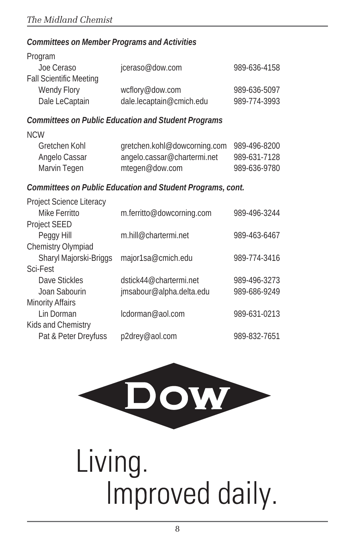#### *Committees on Member Programs and Activities*

| Program                        |                          |              |
|--------------------------------|--------------------------|--------------|
| Joe Ceraso                     | jceraso@dow.com          | 989-636-4158 |
| <b>Fall Scientific Meeting</b> |                          |              |
| Wendy Flory                    | wcflory@dow.com          | 989-636-5097 |
| Dale LeCaptain                 | dale.lecaptain@cmich.edu | 989-774-3993 |

#### *Committees on Public Education and Student Programs*

| angelo.cassar@chartermi.net | 989-631-7128                              |
|-----------------------------|-------------------------------------------|
| mtegen@dow.com              | 989-636-9780                              |
|                             | gretchen.kohl@dowcorning.com 989-496-8200 |

#### *Committees on Public Education and Student Programs, cont.*

| Project Science Literacy |                           |              |
|--------------------------|---------------------------|--------------|
| Mike Ferritto            | m.ferritto@dowcorning.com | 989-496-3244 |
| Project SEED             |                           |              |
| Peggy Hill               | m.hill@chartermi.net      | 989-463-6467 |
| Chemistry Olympiad       |                           |              |
| Sharyl Majorski-Briggs   | major1sa@cmich.edu        | 989-774-3416 |
| Sci-Fest                 |                           |              |
| Dave Stickles            | dstick44@chartermi.net    | 989-496-3273 |
| Joan Sabourin            | jmsabour@alpha.delta.edu  | 989-686-9249 |
| <b>Minority Affairs</b>  |                           |              |
| Lin Dorman               | lcdorman@aol.com          | 989-631-0213 |
| Kids and Chemistry       |                           |              |
| Pat & Peter Dreyfuss     | p2drey@aol.com            | 989-832-7651 |
|                          |                           |              |



# Living. Improved daily.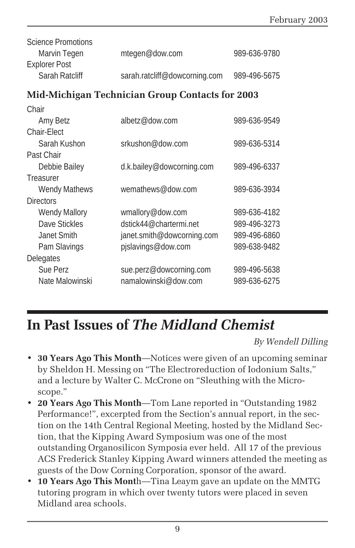| Science Promotions |                               |              |
|--------------------|-------------------------------|--------------|
| Marvin Tegen       | mtegen@dow.com                | 989-636-9780 |
| Explorer Post      |                               |              |
| Sarah Ratcliff     | sarah.ratcliff@dowcorning.com | 989-496-5675 |

### **Mid-Michigan Technician Group Contacts for 2003**

| Chair                |                            |              |
|----------------------|----------------------------|--------------|
| Amy Betz             | albetz@dow.com             | 989-636-9549 |
| Chair-Elect          |                            |              |
| Sarah Kushon         | srkushon@dow.com           | 989-636-5314 |
| Past Chair           |                            |              |
| Debbie Bailey        | d.k.bailey@dowcorning.com  | 989-496-6337 |
| Treasurer            |                            |              |
| <b>Wendy Mathews</b> | wemathews@dow.com          | 989-636-3934 |
| <b>Directors</b>     |                            |              |
| <b>Wendy Mallory</b> | wmallory@dow.com           | 989-636-4182 |
| Dave Stickles        | dstick44@chartermi.net     | 989-496-3273 |
| Janet Smith          | janet.smith@dowcorning.com | 989-496-6860 |
| Pam Slavings         | pjslavings@dow.com         | 989-638-9482 |
| Delegates            |                            |              |
| Sue Perz             | sue.perz@dowcorning.com    | 989-496-5638 |
| Nate Malowinski      | namalowinski@dow.com       | 989-636-6275 |
|                      |                            |              |

# **In Past Issues of** *The Midland Chemist*

*By Wendell Dilling*

- **30 Years Ago This Month**—Notices were given of an upcoming seminar by Sheldon H. Messing on "The Electroreduction of Iodonium Salts," and a lecture by Walter C. McCrone on "Sleuthing with the Microscope."
- **20 Years Ago This Month**—Tom Lane reported in "Outstanding 1982 Performance!", excerpted from the Section's annual report, in the section on the 14th Central Regional Meeting, hosted by the Midland Section, that the Kipping Award Symposium was one of the most outstanding Organosilicon Symposia ever held. All 17 of the previous ACS Frederick Stanley Kipping Award winners attended the meeting as guests of the Dow Corning Corporation, sponsor of the award.
- **10 Years Ago This Mont**h—Tina Leaym gave an update on the MMTG tutoring program in which over twenty tutors were placed in seven Midland area schools.